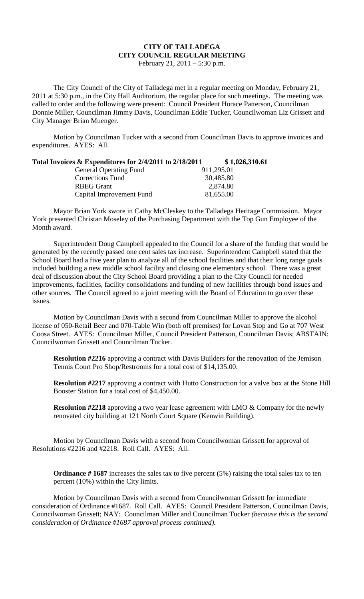## **CITY OF TALLADEGA CITY COUNCIL REGULAR MEETING**

February 21, 2011 – 5:30 p.m.

The City Council of the City of Talladega met in a regular meeting on Monday, February 21, 2011 at 5:30 p.m., in the City Hall Auditorium, the regular place for such meetings. The meeting was called to order and the following were present: Council President Horace Patterson, Councilman Donnie Miller, Councilman Jimmy Davis, Councilman Eddie Tucker, Councilwoman Liz Grissett and City Manager Brian Muenger.

Motion by Councilman Tucker with a second from Councilman Davis to approve invoices and expenditures. AYES: All.

| Total Invoices $\&$ Expenditures for 2/4/2011 to 2/18/2011 | \$1,026,310.61 |  |
|------------------------------------------------------------|----------------|--|
| <b>General Operating Fund</b>                              | 911,295.01     |  |
| Corrections Fund                                           | 30,485.80      |  |
| <b>RBEG</b> Grant                                          | 2,874.80       |  |
| Capital Improvement Fund                                   | 81,655.00      |  |

Mayor Brian York swore in Cathy McCleskey to the Talladega Heritage Commission. Mayor York presented Christan Moseley of the Purchasing Department with the Top Gun Employee of the Month award.

Superintendent Doug Campbell appealed to the Council for a share of the funding that would be generated by the recently passed one cent sales tax increase. Superintendent Campbell stated that the School Board had a five year plan to analyze all of the school facilities and that their long range goals included building a new middle school facility and closing one elementary school. There was a great deal of discussion about the City School Board providing a plan to the City Council for needed improvements, facilities, facility consolidations and funding of new facilities through bond issues and other sources. The Council agreed to a joint meeting with the Board of Education to go over these issues.

Motion by Councilman Davis with a second from Councilman Miller to approve the alcohol license of 050-Retail Beer and 070-Table Win (both off premises) for Lovan Stop and Go at 707 West Coosa Street. AYES: Councilman Miller, Council President Patterson, Councilman Davis; ABSTAIN: Councilwoman Grissett and Councilman Tucker.

**Resolution #2216** approving a contract with Davis Builders for the renovation of the Jemison Tennis Court Pro Shop/Restrooms for a total cost of \$14,135.00.

**Resolution #2217** approving a contract with Hutto Construction for a valve box at the Stone Hill Booster Station for a total cost of \$4,450.00.

**Resolution #2218** approving a two year lease agreement with LMO & Company for the newly renovated city building at 121 North Court Square (Kenwin Building).

Motion by Councilman Davis with a second from Councilwoman Grissett for approval of Resolutions #2216 and #2218. Roll Call. AYES: All.

**Ordinance # 1687** increases the sales tax to five percent (5%) raising the total sales tax to ten percent (10%) within the City limits.

Motion by Councilman Davis with a second from Councilwoman Grissett for immediate consideration of Ordinance #1687. Roll Call. AYES: Council President Patterson, Councilman Davis, Councilwoman Grissett; NAY: Councilman Miller and Councilman Tucker *(because this is the second consideration of Ordinance #1687 approval process continued).*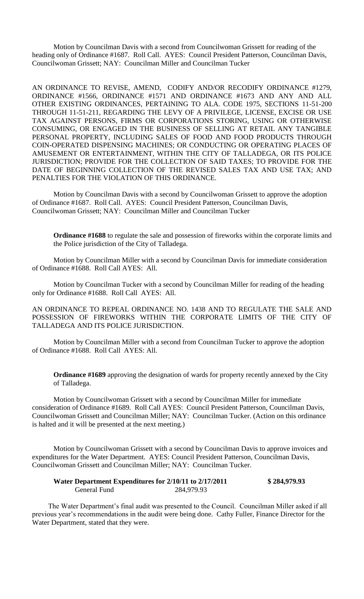Motion by Councilman Davis with a second from Councilwoman Grissett for reading of the heading only of Ordinance #1687. Roll Call. AYES: Council President Patterson, Councilman Davis, Councilwoman Grissett; NAY: Councilman Miller and Councilman Tucker

AN ORDINANCE TO REVISE, AMEND, CODIFY AND/OR RECODIFY ORDINANCE #1279, ORDINANCE #1566, ORDINANCE #1571 AND ORDINANCE #1673 AND ANY AND ALL OTHER EXISTING ORDINANCES, PERTAINING TO ALA. CODE 1975, SECTIONS 11-51-200 THROUGH 11-51-211, REGARDING THE LEVY OF A PRIVILEGE, LICENSE, EXCISE OR USE TAX AGAINST PERSONS, FIRMS OR CORPORATIONS STORING, USING OR OTHERWISE CONSUMING, OR ENGAGED IN THE BUSINESS OF SELLING AT RETAIL ANY TANGIBLE PERSONAL PROPERTY, INCLUDING SALES OF FOOD AND FOOD PRODUCTS THROUGH COIN-OPERATED DISPENSING MACHINES; OR CONDUCTING OR OPERATING PLACES OF AMUSEMENT OR ENTERTAINMENT, WITHIN THE CITY OF TALLADEGA, OR ITS POLICE JURISDICTION; PROVIDE FOR THE COLLECTION OF SAID TAXES; TO PROVIDE FOR THE DATE OF BEGINNING COLLECTION OF THE REVISED SALES TAX AND USE TAX; AND PENALTIES FOR THE VIOLATION OF THIS ORDINANCE.

Motion by Councilman Davis with a second by Councilwoman Grissett to approve the adoption of Ordinance #1687. Roll Call. AYES: Council President Patterson, Councilman Davis, Councilwoman Grissett; NAY: Councilman Miller and Councilman Tucker

**Ordinance #1688** to regulate the sale and possession of fireworks within the corporate limits and the Police jurisdiction of the City of Talladega.

Motion by Councilman Miller with a second by Councilman Davis for immediate consideration of Ordinance #1688. Roll Call AYES: All.

Motion by Councilman Tucker with a second by Councilman Miller for reading of the heading only for Ordinance #1688. Roll Call AYES: All.

AN ORDINANCE TO REPEAL ORDINANCE NO. 1438 AND TO REGULATE THE SALE AND POSSESSION OF FIREWORKS WITHIN THE CORPORATE LIMITS OF THE CITY OF TALLADEGA AND ITS POLICE JURISDICTION.

Motion by Councilman Miller with a second from Councilman Tucker to approve the adoption of Ordinance #1688. Roll Call AYES: All.

**Ordinance #1689** approving the designation of wards for property recently annexed by the City of Talladega.

Motion by Councilwoman Grissett with a second by Councilman Miller for immediate consideration of Ordinance #1689. Roll Call AYES: Council President Patterson, Councilman Davis, Councilwoman Grissett and Councilman Miller; NAY: Councilman Tucker. (Action on this ordinance is halted and it will be presented at the next meeting.)

Motion by Councilwoman Grissett with a second by Councilman Davis to approve invoices and expenditures for the Water Department. AYES: Council President Patterson, Councilman Davis, Councilwoman Grissett and Councilman Miller; NAY: Councilman Tucker.

| Water Department Expenditures for 2/10/11 to 2/17/2011 |            | \$284,979.93 |
|--------------------------------------------------------|------------|--------------|
| General Fund                                           | 284,979.93 |              |

The Water Department's final audit was presented to the Council. Councilman Miller asked if all previous year's recommendations in the audit were being done. Cathy Fuller, Finance Director for the Water Department, stated that they were.